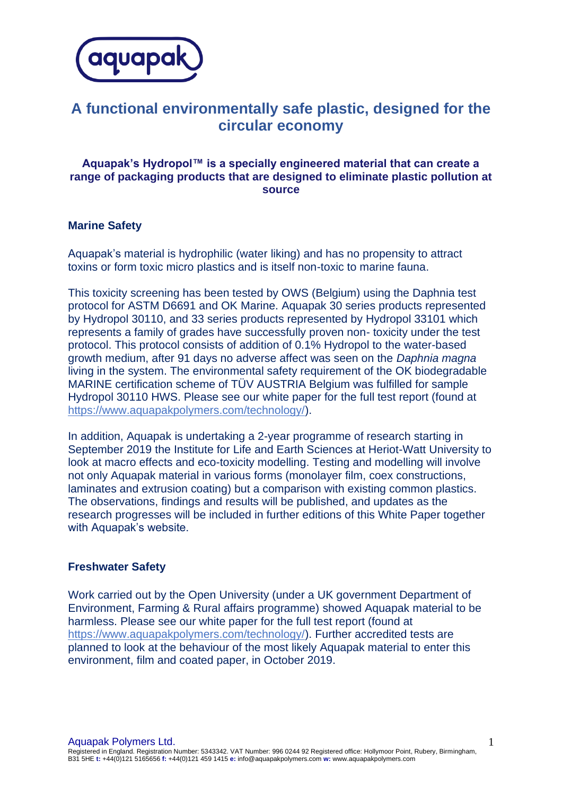

## **A functional environmentally safe plastic, designed for the circular economy**

## **Aquapak's Hydropol™ is a specially engineered material that can create a range of packaging products that are designed to eliminate plastic pollution at source**

## **Marine Safety**

Aquapak's material is hydrophilic (water liking) and has no propensity to attract toxins or form toxic micro plastics and is itself non-toxic to marine fauna.

This toxicity screening has been tested by OWS (Belgium) using the Daphnia test protocol for ASTM D6691 and OK Marine. Aquapak 30 series products represented by Hydropol 30110, and 33 series products represented by Hydropol 33101 which represents a family of grades have successfully proven non- toxicity under the test protocol. This protocol consists of addition of 0.1% Hydropol to the water-based growth medium, after 91 days no adverse affect was seen on the *Daphnia magna* living in the system. The environmental safety requirement of the OK biodegradable MARINE certification scheme of TÜV AUSTRIA Belgium was fulfilled for sample Hydropol 30110 HWS. Please see our white paper for the full test report (found at [https://www.aquapakpolymers.com/technology/\)](https://www.aquapakpolymers.com/technology/).

In addition, Aquapak is undertaking a 2-year programme of research starting in September 2019 the Institute for Life and Earth Sciences at Heriot-Watt University to look at macro effects and eco-toxicity modelling. Testing and modelling will involve not only Aquapak material in various forms (monolayer film, coex constructions, laminates and extrusion coating) but a comparison with existing common plastics. The observations, findings and results will be published, and updates as the research progresses will be included in further editions of this White Paper together with Aquapak's website.

## **Freshwater Safety**

Work carried out by the Open University (under a UK government Department of Environment, Farming & Rural affairs programme) showed Aquapak material to be harmless. Please see our white paper for the full test report (found at [https://www.aquapakpolymers.com/technology/\)](https://www.aquapakpolymers.com/technology/). Further accredited tests are planned to look at the behaviour of the most likely Aquapak material to enter this environment, film and coated paper, in October 2019.